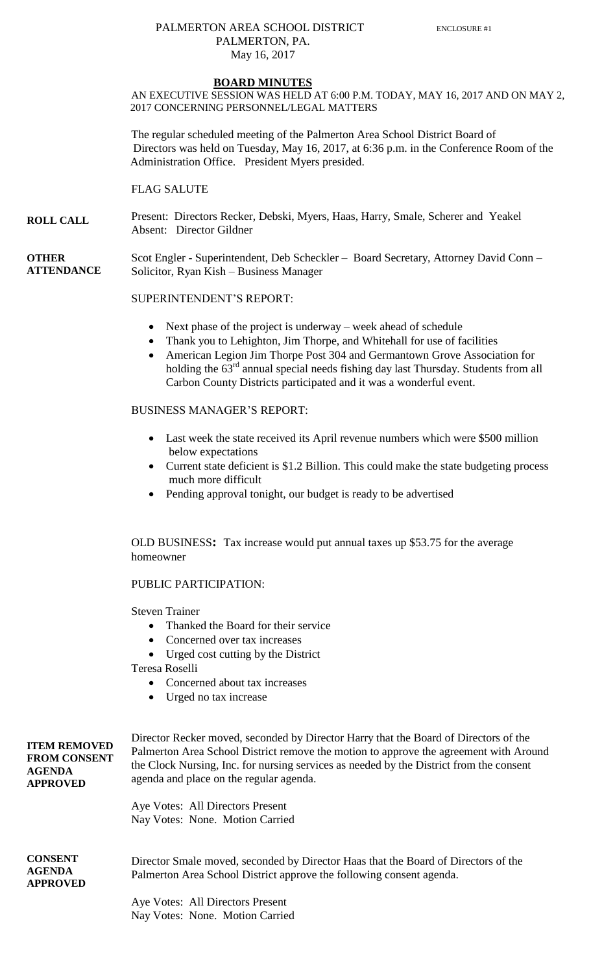### PALMERTON AREA SCHOOL DISTRICT ENCLOSURE #1 PALMERTON, PA. May 16, 2017

#### **BOARD MINUTES**

AN EXECUTIVE SESSION WAS HELD AT 6:00 P.M. TODAY, MAY 16, 2017 AND ON MAY 2, 2017 CONCERNING PERSONNEL/LEGAL MATTERS

The regular scheduled meeting of the Palmerton Area School District Board of Directors was held on Tuesday, May 16, 2017, at 6:36 p.m. in the Conference Room of the Administration Office. President Myers presided.

FLAG SALUTE

**ROLL CALL** Present: Directors Recker, Debski, Myers, Haas, Harry, Smale, Scherer and Yeakel Absent: Director Gildner

**OTHER ATTENDANCE** Scot Engler - Superintendent, Deb Scheckler – Board Secretary, Attorney David Conn – Solicitor, Ryan Kish – Business Manager

### SUPERINTENDENT'S REPORT:

- Next phase of the project is underway week ahead of schedule
- Thank you to Lehighton, Jim Thorpe, and Whitehall for use of facilities
- American Legion Jim Thorpe Post 304 and Germantown Grove Association for holding the  $63<sup>rd</sup>$  annual special needs fishing day last Thursday. Students from all Carbon County Districts participated and it was a wonderful event.

## BUSINESS MANAGER'S REPORT:

- Last week the state received its April revenue numbers which were \$500 million below expectations
- Current state deficient is \$1.2 Billion. This could make the state budgeting process much more difficult
- Pending approval tonight, our budget is ready to be advertised

OLD BUSINESS**:** Tax increase would put annual taxes up \$53.75 for the average homeowner

### PUBLIC PARTICIPATION:

Steven Trainer

- Thanked the Board for their service
- Concerned over tax increases
- Urged cost cutting by the District

Teresa Roselli

- Concerned about tax increases
- Urged no tax increase

| <b>ITEM REMOVED</b><br><b>FROM CONSENT</b><br><b>AGENDA</b><br><b>APPROVED</b> | Director Recker moved, seconded by Director Harry that the Board of Directors of the<br>Palmerton Area School District remove the motion to approve the agreement with Around<br>the Clock Nursing, Inc. for nursing services as needed by the District from the consent<br>agenda and place on the regular agenda. |  |  |
|--------------------------------------------------------------------------------|---------------------------------------------------------------------------------------------------------------------------------------------------------------------------------------------------------------------------------------------------------------------------------------------------------------------|--|--|
|                                                                                | Aye Votes: All Directors Present<br>Nay Votes: None. Motion Carried                                                                                                                                                                                                                                                 |  |  |
|                                                                                |                                                                                                                                                                                                                                                                                                                     |  |  |
| <b>CONSENT</b><br><b>AGENDA</b><br><b>APPROVED</b>                             | Director Smale moved, seconded by Director Haas that the Board of Directors of the<br>Palmerton Area School District approve the following consent agenda.                                                                                                                                                          |  |  |
|                                                                                | Aye Votes: All Directors Present<br>Nay Votes: None. Motion Carried                                                                                                                                                                                                                                                 |  |  |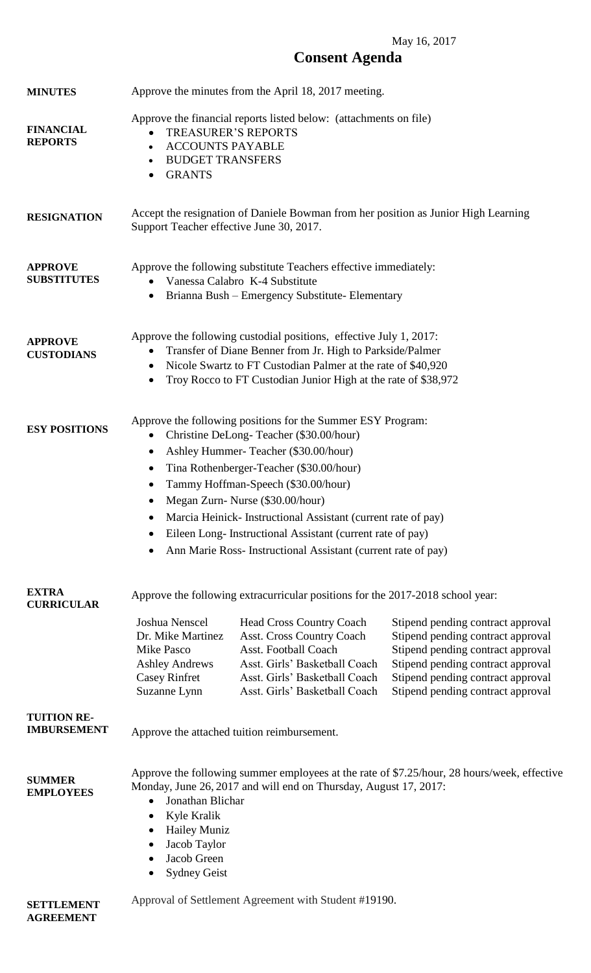# May 16, 2017 **Consent Agenda**

| <b>MINUTES</b>                           | Approve the minutes from the April 18, 2017 meeting.                                                                                                                                                                                                                                                                                                                                                                                                                                                    |                                                                                                                                                                                                                                                                                  |                                                                                                                                                                                                                            |
|------------------------------------------|---------------------------------------------------------------------------------------------------------------------------------------------------------------------------------------------------------------------------------------------------------------------------------------------------------------------------------------------------------------------------------------------------------------------------------------------------------------------------------------------------------|----------------------------------------------------------------------------------------------------------------------------------------------------------------------------------------------------------------------------------------------------------------------------------|----------------------------------------------------------------------------------------------------------------------------------------------------------------------------------------------------------------------------|
| <b>FINANCIAL</b><br><b>REPORTS</b>       | Approve the financial reports listed below: (attachments on file)<br><b>TREASURER'S REPORTS</b><br><b>ACCOUNTS PAYABLE</b><br>$\bullet$<br><b>BUDGET TRANSFERS</b><br><b>GRANTS</b><br>٠                                                                                                                                                                                                                                                                                                                |                                                                                                                                                                                                                                                                                  |                                                                                                                                                                                                                            |
| <b>RESIGNATION</b>                       | Accept the resignation of Daniele Bowman from her position as Junior High Learning<br>Support Teacher effective June 30, 2017.                                                                                                                                                                                                                                                                                                                                                                          |                                                                                                                                                                                                                                                                                  |                                                                                                                                                                                                                            |
| <b>APPROVE</b><br><b>SUBSTITUTES</b>     | Approve the following substitute Teachers effective immediately:<br>Vanessa Calabro K-4 Substitute<br>$\bullet$<br>Brianna Bush - Emergency Substitute- Elementary<br>$\bullet$                                                                                                                                                                                                                                                                                                                         |                                                                                                                                                                                                                                                                                  |                                                                                                                                                                                                                            |
| <b>APPROVE</b><br><b>CUSTODIANS</b>      | Approve the following custodial positions, effective July 1, 2017:<br>Transfer of Diane Benner from Jr. High to Parkside/Palmer<br>Nicole Swartz to FT Custodian Palmer at the rate of \$40,920<br>$\bullet$<br>Troy Rocco to FT Custodian Junior High at the rate of \$38,972<br>٠                                                                                                                                                                                                                     |                                                                                                                                                                                                                                                                                  |                                                                                                                                                                                                                            |
| <b>ESY POSITIONS</b>                     | Approve the following positions for the Summer ESY Program:<br>Christine DeLong-Teacher (\$30.00/hour)<br>٠<br>Ashley Hummer-Teacher (\$30.00/hour)<br>$\bullet$<br>Tina Rothenberger-Teacher (\$30.00/hour)<br>٠<br>Tammy Hoffman-Speech (\$30.00/hour)<br>Megan Zurn-Nurse (\$30.00/hour)<br>Marcia Heinick-Instructional Assistant (current rate of pay)<br>Eileen Long- Instructional Assistant (current rate of pay)<br>$\bullet$<br>Ann Marie Ross- Instructional Assistant (current rate of pay) |                                                                                                                                                                                                                                                                                  |                                                                                                                                                                                                                            |
| <b>EXTRA</b><br><b>CURRICULAR</b>        | Joshua Nenscel<br>Dr. Mike Martinez<br>Mike Pasco<br><b>Ashley Andrews</b><br><b>Casey Rinfret</b><br>Suzanne Lynn                                                                                                                                                                                                                                                                                                                                                                                      | Approve the following extracurricular positions for the 2017-2018 school year:<br><b>Head Cross Country Coach</b><br><b>Asst. Cross Country Coach</b><br>Asst. Football Coach<br>Asst. Girls' Basketball Coach<br>Asst. Girls' Basketball Coach<br>Asst. Girls' Basketball Coach | Stipend pending contract approval<br>Stipend pending contract approval<br>Stipend pending contract approval<br>Stipend pending contract approval<br>Stipend pending contract approval<br>Stipend pending contract approval |
| <b>TUITION RE-</b><br><b>IMBURSEMENT</b> | Approve the attached tuition reimbursement.                                                                                                                                                                                                                                                                                                                                                                                                                                                             |                                                                                                                                                                                                                                                                                  |                                                                                                                                                                                                                            |
| <b>SUMMER</b><br><b>EMPLOYEES</b>        | Approve the following summer employees at the rate of \$7.25/hour, 28 hours/week, effective<br>Monday, June 26, 2017 and will end on Thursday, August 17, 2017:<br>Jonathan Blichar<br>$\bullet$<br>Kyle Kralik<br>$\bullet$<br><b>Hailey Muniz</b><br>$\bullet$<br>Jacob Taylor<br>٠<br>Jacob Green<br><b>Sydney Geist</b>                                                                                                                                                                             |                                                                                                                                                                                                                                                                                  |                                                                                                                                                                                                                            |
| <b>SETTLEMENT</b>                        |                                                                                                                                                                                                                                                                                                                                                                                                                                                                                                         | Approval of Settlement Agreement with Student #19190.                                                                                                                                                                                                                            |                                                                                                                                                                                                                            |

**AGREEMENT**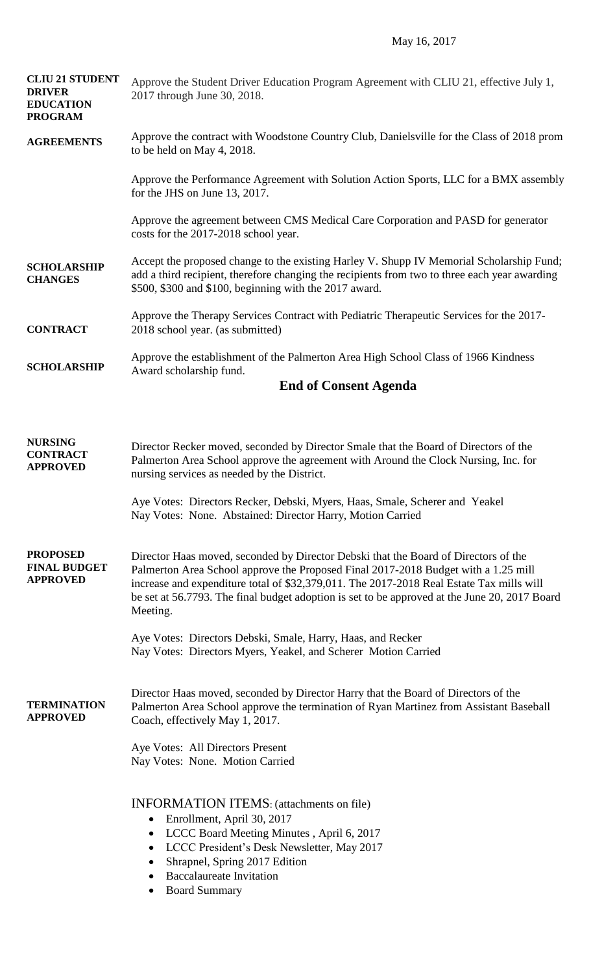| <b>CLIU 21 STUDENT</b><br><b>DRIVER</b><br><b>EDUCATION</b><br><b>PROGRAM</b> | Approve the Student Driver Education Program Agreement with CLIU 21, effective July 1,<br>2017 through June 30, 2018.                                                                                                                                                                                                                                                              |  |
|-------------------------------------------------------------------------------|------------------------------------------------------------------------------------------------------------------------------------------------------------------------------------------------------------------------------------------------------------------------------------------------------------------------------------------------------------------------------------|--|
| <b>AGREEMENTS</b>                                                             | Approve the contract with Woodstone Country Club, Danielsville for the Class of 2018 prom<br>to be held on May 4, 2018.                                                                                                                                                                                                                                                            |  |
|                                                                               | Approve the Performance Agreement with Solution Action Sports, LLC for a BMX assembly<br>for the JHS on June 13, 2017.                                                                                                                                                                                                                                                             |  |
|                                                                               | Approve the agreement between CMS Medical Care Corporation and PASD for generator<br>costs for the 2017-2018 school year.                                                                                                                                                                                                                                                          |  |
| <b>SCHOLARSHIP</b><br><b>CHANGES</b>                                          | Accept the proposed change to the existing Harley V. Shupp IV Memorial Scholarship Fund;<br>add a third recipient, therefore changing the recipients from two to three each year awarding<br>\$500, \$300 and \$100, beginning with the 2017 award.                                                                                                                                |  |
| <b>CONTRACT</b>                                                               | Approve the Therapy Services Contract with Pediatric Therapeutic Services for the 2017-<br>2018 school year. (as submitted)                                                                                                                                                                                                                                                        |  |
| <b>SCHOLARSHIP</b>                                                            | Approve the establishment of the Palmerton Area High School Class of 1966 Kindness<br>Award scholarship fund.                                                                                                                                                                                                                                                                      |  |
|                                                                               | <b>End of Consent Agenda</b>                                                                                                                                                                                                                                                                                                                                                       |  |
| <b>NURSING</b><br><b>CONTRACT</b><br><b>APPROVED</b>                          | Director Recker moved, seconded by Director Smale that the Board of Directors of the<br>Palmerton Area School approve the agreement with Around the Clock Nursing, Inc. for<br>nursing services as needed by the District.                                                                                                                                                         |  |
|                                                                               | Aye Votes: Directors Recker, Debski, Myers, Haas, Smale, Scherer and Yeakel<br>Nay Votes: None. Abstained: Director Harry, Motion Carried                                                                                                                                                                                                                                          |  |
| <b>PROPOSED</b><br><b>FINAL BUDGET</b><br><b>APPROVED</b>                     | Director Haas moved, seconded by Director Debski that the Board of Directors of the<br>Palmerton Area School approve the Proposed Final 2017-2018 Budget with a 1.25 mill<br>increase and expenditure total of \$32,379,011. The 2017-2018 Real Estate Tax mills will<br>be set at 56.7793. The final budget adoption is set to be approved at the June 20, 2017 Board<br>Meeting. |  |
|                                                                               | Aye Votes: Directors Debski, Smale, Harry, Haas, and Recker<br>Nay Votes: Directors Myers, Yeakel, and Scherer Motion Carried                                                                                                                                                                                                                                                      |  |
| <b>TERMINATION</b><br><b>APPROVED</b>                                         | Director Haas moved, seconded by Director Harry that the Board of Directors of the<br>Palmerton Area School approve the termination of Ryan Martinez from Assistant Baseball<br>Coach, effectively May 1, 2017.                                                                                                                                                                    |  |
|                                                                               | Aye Votes: All Directors Present<br>Nay Votes: None. Motion Carried                                                                                                                                                                                                                                                                                                                |  |
|                                                                               | <b>INFORMATION ITEMS:</b> (attachments on file)<br>Enrollment, April 30, 2017<br>$\bullet$<br>LCCC Board Meeting Minutes, April 6, 2017<br>$\bullet$<br>LCCC President's Desk Newsletter, May 2017<br>$\bullet$<br>Shrapnel, Spring 2017 Edition<br>$\bullet$<br><b>Baccalaureate Invitation</b><br><b>Board Summary</b>                                                           |  |